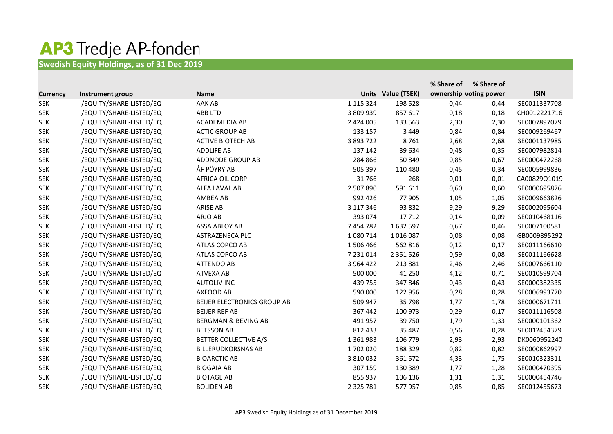## **AP3 Tredje AP-fonden**<br>Swedish Equity Holdings, as of 31 Dec 2019

|                 |                         |                                |               |                    | % Share of | % Share of             |              |
|-----------------|-------------------------|--------------------------------|---------------|--------------------|------------|------------------------|--------------|
| <b>Currency</b> | Instrument group        | <b>Name</b>                    |               | Units Value (TSEK) |            | ownership voting power | <b>ISIN</b>  |
| <b>SEK</b>      | /EQUITY/SHARE-LISTED/EQ | AAK AB                         | 1 1 1 5 3 2 4 | 198 528            | 0,44       | 0,44                   | SE0011337708 |
| <b>SEK</b>      | /EQUITY/SHARE-LISTED/EQ | <b>ABB LTD</b>                 | 3 809 939     | 857 617            | 0,18       | 0,18                   | CH0012221716 |
| <b>SEK</b>      | /EQUITY/SHARE-LISTED/EQ | ACADEMEDIA AB                  | 2 424 005     | 133 563            | 2,30       | 2,30                   | SE0007897079 |
| <b>SEK</b>      | /EQUITY/SHARE-LISTED/EQ | <b>ACTIC GROUP AB</b>          | 133 157       | 3 4 4 9            | 0,84       | 0,84                   | SE0009269467 |
| <b>SEK</b>      | /EQUITY/SHARE-LISTED/EQ | <b>ACTIVE BIOTECH AB</b>       | 3 893 722     | 8761               | 2,68       | 2,68                   | SE0001137985 |
| <b>SEK</b>      | /EQUITY/SHARE-LISTED/EQ | <b>ADDLIFE AB</b>              | 137 142       | 39 634             | 0,48       | 0,35                   | SE0007982814 |
| <b>SEK</b>      | /EQUITY/SHARE-LISTED/EQ | ADDNODE GROUP AB               | 284 866       | 50 849             | 0,85       | 0,67                   | SE0000472268 |
| <b>SEK</b>      | /EQUITY/SHARE-LISTED/EQ | ÅF PÖYRY AB                    | 505 397       | 110 480            | 0,45       | 0,34                   | SE0005999836 |
| <b>SEK</b>      | /EQUITY/SHARE-LISTED/EQ | AFRICA OIL CORP                | 31766         | 268                | 0,01       | 0,01                   | CA00829Q1019 |
| <b>SEK</b>      | /EQUITY/SHARE-LISTED/EQ | ALFA LAVAL AB                  | 2 507 890     | 591 611            | 0,60       | 0,60                   | SE0000695876 |
| <b>SEK</b>      | /EQUITY/SHARE-LISTED/EQ | AMBEA AB                       | 992 426       | 77 905             | 1,05       | 1,05                   | SE0009663826 |
| <b>SEK</b>      | /EQUITY/SHARE-LISTED/EQ | <b>ARISE AB</b>                | 3 117 346     | 93 832             | 9,29       | 9,29                   | SE0002095604 |
| <b>SEK</b>      | /EQUITY/SHARE-LISTED/EQ | ARJO AB                        | 393 074       | 17712              | 0,14       | 0,09                   | SE0010468116 |
| <b>SEK</b>      | /EQUITY/SHARE-LISTED/EQ | <b>ASSA ABLOY AB</b>           | 7 454 782     | 1632597            | 0,67       | 0,46                   | SE0007100581 |
| <b>SEK</b>      | /EQUITY/SHARE-LISTED/EQ | ASTRAZENECA PLC                | 1 080 714     | 1016087            | 0,08       | 0,08                   | GB0009895292 |
| <b>SEK</b>      | /EQUITY/SHARE-LISTED/EQ | ATLAS COPCO AB                 | 1506466       | 562 816            | 0,12       | 0,17                   | SE0011166610 |
| <b>SEK</b>      | /EQUITY/SHARE-LISTED/EQ | ATLAS COPCO AB                 | 7 231 014     | 2 3 5 1 5 2 6      | 0,59       | 0,08                   | SE0011166628 |
| <b>SEK</b>      | /EQUITY/SHARE-LISTED/EQ | <b>ATTENDO AB</b>              | 3 9 6 4 4 2 2 | 213 881            | 2,46       | 2,46                   | SE0007666110 |
| <b>SEK</b>      | /EQUITY/SHARE-LISTED/EQ | <b>ATVEXA AB</b>               | 500 000       | 41 250             | 4,12       | 0,71                   | SE0010599704 |
| <b>SEK</b>      | /EQUITY/SHARE-LISTED/EQ | <b>AUTOLIV INC</b>             | 439 755       | 347846             | 0,43       | 0,43                   | SE0000382335 |
| <b>SEK</b>      | /EQUITY/SHARE-LISTED/EQ | AXFOOD AB                      | 590 000       | 122 956            | 0,28       | 0,28                   | SE0006993770 |
| <b>SEK</b>      | /EQUITY/SHARE-LISTED/EQ | BEIJER ELECTRONICS GROUP AB    | 509 947       | 35 798             | 1,77       | 1,78                   | SE0000671711 |
| <b>SEK</b>      | /EQUITY/SHARE-LISTED/EQ | <b>BEIJER REF AB</b>           | 367 442       | 100 973            | 0,29       | 0,17                   | SE0011116508 |
| <b>SEK</b>      | /EQUITY/SHARE-LISTED/EQ | <b>BERGMAN &amp; BEVING AB</b> | 491 957       | 39 750             | 1,79       | 1,33                   | SE0000101362 |
| <b>SEK</b>      | /EQUITY/SHARE-LISTED/EQ | <b>BETSSON AB</b>              | 812 433       | 35 487             | 0,56       | 0,28                   | SE0012454379 |
| <b>SEK</b>      | /EQUITY/SHARE-LISTED/EQ | BETTER COLLECTIVE A/S          | 1 3 6 1 9 8 3 | 106 779            | 2,93       | 2,93                   | DK0060952240 |
| <b>SEK</b>      | /EQUITY/SHARE-LISTED/EQ | <b>BILLERUDKORSNAS AB</b>      | 1702020       | 188 329            | 0,82       | 0,82                   | SE0000862997 |
| <b>SEK</b>      | /EQUITY/SHARE-LISTED/EQ | <b>BIOARCTIC AB</b>            | 3 810 032     | 361 572            | 4,33       | 1,75                   | SE0010323311 |
| <b>SEK</b>      | /EQUITY/SHARE-LISTED/EQ | <b>BIOGAIA AB</b>              | 307 159       | 130 389            | 1,77       | 1,28                   | SE0000470395 |
| <b>SEK</b>      | /EQUITY/SHARE-LISTED/EQ | <b>BIOTAGE AB</b>              | 855 937       | 106 136            | 1,31       | 1,31                   | SE0000454746 |
| <b>SEK</b>      | /EQUITY/SHARE-LISTED/EQ | <b>BOLIDEN AB</b>              | 2 3 2 5 7 8 1 | 577957             | 0,85       | 0,85                   | SE0012455673 |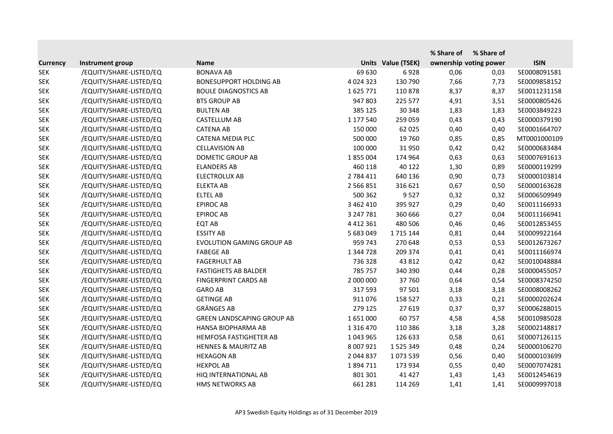|                 |                         |                                   |               |                           | % Share of | % Share of             |              |
|-----------------|-------------------------|-----------------------------------|---------------|---------------------------|------------|------------------------|--------------|
| <b>Currency</b> | Instrument group        | <b>Name</b>                       |               | <b>Units Value (TSEK)</b> |            | ownership voting power | <b>ISIN</b>  |
| <b>SEK</b>      | /EQUITY/SHARE-LISTED/EQ | <b>BONAVA AB</b>                  | 69 630        | 6928                      | 0,06       | 0,03                   | SE0008091581 |
| <b>SEK</b>      | /EQUITY/SHARE-LISTED/EQ | <b>BONESUPPORT HOLDING AB</b>     | 4 0 2 4 3 2 3 | 130 790                   | 7,66       | 7,73                   | SE0009858152 |
| <b>SEK</b>      | /EQUITY/SHARE-LISTED/EQ | <b>BOULE DIAGNOSTICS AB</b>       | 1625771       | 110878                    | 8,37       | 8,37                   | SE0011231158 |
| <b>SEK</b>      | /EQUITY/SHARE-LISTED/EQ | <b>BTS GROUP AB</b>               | 947 803       | 225 577                   | 4,91       | 3,51                   | SE0000805426 |
| <b>SEK</b>      | /EQUITY/SHARE-LISTED/EQ | <b>BULTEN AB</b>                  | 385 125       | 30 348                    | 1,83       | 1,83                   | SE0003849223 |
| <b>SEK</b>      | /EQUITY/SHARE-LISTED/EQ | <b>CASTELLUM AB</b>               | 1 177 540     | 259 059                   | 0,43       | 0,43                   | SE0000379190 |
| <b>SEK</b>      | /EQUITY/SHARE-LISTED/EQ | <b>CATENA AB</b>                  | 150 000       | 62 025                    | 0,40       | 0,40                   | SE0001664707 |
| <b>SEK</b>      | /EQUITY/SHARE-LISTED/EQ | <b>CATENA MEDIA PLC</b>           | 500 000       | 19 760                    | 0,85       | 0,85                   | MT0001000109 |
| <b>SEK</b>      | /EQUITY/SHARE-LISTED/EQ | <b>CELLAVISION AB</b>             | 100 000       | 31 950                    | 0,42       | 0,42                   | SE0000683484 |
| <b>SEK</b>      | /EQUITY/SHARE-LISTED/EQ | <b>DOMETIC GROUP AB</b>           | 1855004       | 174 964                   | 0,63       | 0,63                   | SE0007691613 |
| <b>SEK</b>      | /EQUITY/SHARE-LISTED/EQ | <b>ELANDERS AB</b>                | 460 118       | 40 122                    | 1,30       | 0,89                   | SE0000119299 |
| <b>SEK</b>      | /EQUITY/SHARE-LISTED/EQ | ELECTROLUX AB                     | 2 784 411     | 640 136                   | 0,90       | 0,73                   | SE0000103814 |
| <b>SEK</b>      | /EQUITY/SHARE-LISTED/EQ | <b>ELEKTA AB</b>                  | 2 566 851     | 316 621                   | 0,67       | 0,50                   | SE0000163628 |
| <b>SEK</b>      | /EQUITY/SHARE-LISTED/EQ | <b>ELTEL AB</b>                   | 500 362       | 9527                      | 0,32       | 0,32                   | SE0006509949 |
| <b>SEK</b>      | /EQUITY/SHARE-LISTED/EQ | <b>EPIROC AB</b>                  | 3 462 410     | 395 927                   | 0,29       | 0,40                   | SE0011166933 |
| <b>SEK</b>      | /EQUITY/SHARE-LISTED/EQ | <b>EPIROC AB</b>                  | 3 247 781     | 360 666                   | 0,27       | 0,04                   | SE0011166941 |
| <b>SEK</b>      | /EQUITY/SHARE-LISTED/EQ | <b>EQT AB</b>                     | 4 4 1 2 3 6 1 | 480 506                   | 0,46       | 0,46                   | SE0012853455 |
| <b>SEK</b>      | /EQUITY/SHARE-LISTED/EQ | <b>ESSITY AB</b>                  | 5 683 049     | 1715 144                  | 0,81       | 0,44                   | SE0009922164 |
| <b>SEK</b>      | /EQUITY/SHARE-LISTED/EQ | <b>EVOLUTION GAMING GROUP AB</b>  | 959 743       | 270 648                   | 0,53       | 0,53                   | SE0012673267 |
| <b>SEK</b>      | /EQUITY/SHARE-LISTED/EQ | <b>FABEGE AB</b>                  | 1 344 728     | 209 374                   | 0,41       | 0,41                   | SE0011166974 |
| <b>SEK</b>      | /EQUITY/SHARE-LISTED/EQ | <b>FAGERHULT AB</b>               | 736 328       | 43 812                    | 0,42       | 0,42                   | SE0010048884 |
| <b>SEK</b>      | /EQUITY/SHARE-LISTED/EQ | <b>FASTIGHETS AB BALDER</b>       | 785 757       | 340 390                   | 0,44       | 0,28                   | SE0000455057 |
| <b>SEK</b>      | /EQUITY/SHARE-LISTED/EQ | <b>FINGERPRINT CARDS AB</b>       | 2 000 000     | 37760                     | 0,64       | 0,54                   | SE0008374250 |
| <b>SEK</b>      | /EQUITY/SHARE-LISTED/EQ | <b>GARO AB</b>                    | 317 593       | 97 501                    | 3,18       | 3,18                   | SE0008008262 |
| <b>SEK</b>      | /EQUITY/SHARE-LISTED/EQ | <b>GETINGE AB</b>                 | 911076        | 158 527                   | 0,33       | 0,21                   | SE0000202624 |
| <b>SEK</b>      | /EQUITY/SHARE-LISTED/EQ | <b>GRÄNGES AB</b>                 | 279 125       | 27 619                    | 0,37       | 0,37                   | SE0006288015 |
| <b>SEK</b>      | /EQUITY/SHARE-LISTED/EQ | <b>GREEN LANDSCAPING GROUP AB</b> | 1651000       | 60757                     | 4,58       | 4,58                   | SE0010985028 |
| <b>SEK</b>      | /EQUITY/SHARE-LISTED/EQ | HANSA BIOPHARMA AB                | 1 3 1 6 4 7 0 | 110 386                   | 3,18       | 3,28                   | SE0002148817 |
| <b>SEK</b>      | /EQUITY/SHARE-LISTED/EQ | HEMFOSA FASTIGHETER AB            | 1 043 965     | 126 633                   | 0,58       | 0,61                   | SE0007126115 |
| <b>SEK</b>      | /EQUITY/SHARE-LISTED/EQ | <b>HENNES &amp; MAURITZ AB</b>    | 8 007 921     | 1 5 2 5 3 4 9             | 0,48       | 0,24                   | SE0000106270 |
| <b>SEK</b>      | /EQUITY/SHARE-LISTED/EQ | <b>HEXAGON AB</b>                 | 2 044 837     | 1073539                   | 0,56       | 0,40                   | SE0000103699 |
| <b>SEK</b>      | /EQUITY/SHARE-LISTED/EQ | <b>HEXPOL AB</b>                  | 1894711       | 173 934                   | 0,55       | 0,40                   | SE0007074281 |
| <b>SEK</b>      | /EQUITY/SHARE-LISTED/EQ | HIQ INTERNATIONAL AB              | 801 301       | 41 4 27                   | 1,43       | 1,43                   | SE0012454619 |
| <b>SEK</b>      | /EQUITY/SHARE-LISTED/EQ | HMS NETWORKS AB                   | 661 281       | 114 269                   | 1,41       | 1,41                   | SE0009997018 |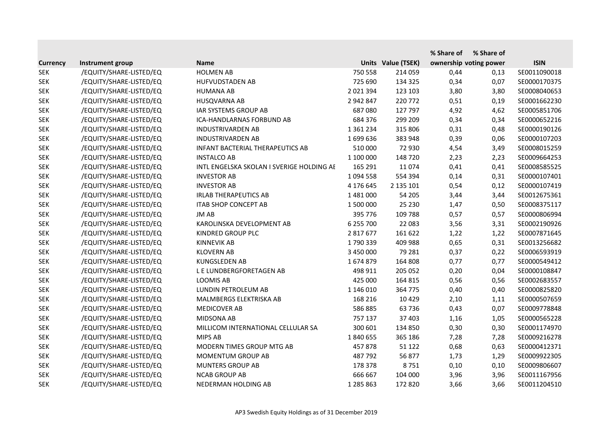|                 |                         |                                           |               |                    | % Share of | % Share of             |              |
|-----------------|-------------------------|-------------------------------------------|---------------|--------------------|------------|------------------------|--------------|
| <b>Currency</b> | Instrument group        | <b>Name</b>                               |               | Units Value (TSEK) |            | ownership voting power | <b>ISIN</b>  |
| <b>SEK</b>      | /EQUITY/SHARE-LISTED/EQ | <b>HOLMEN AB</b>                          | 750 558       | 214 059            | 0,44       | 0,13                   | SE0011090018 |
| <b>SEK</b>      | /EQUITY/SHARE-LISTED/EQ | <b>HUFVUDSTADEN AB</b>                    | 725 690       | 134 325            | 0,34       | 0,07                   | SE0000170375 |
| <b>SEK</b>      | /EQUITY/SHARE-LISTED/EQ | <b>HUMANA AB</b>                          | 2 0 2 1 3 9 4 | 123 103            | 3,80       | 3,80                   | SE0008040653 |
| <b>SEK</b>      | /EQUITY/SHARE-LISTED/EQ | HUSQVARNA AB                              | 2 942 847     | 220 772            | 0,51       | 0,19                   | SE0001662230 |
| <b>SEK</b>      | /EQUITY/SHARE-LISTED/EQ | IAR SYSTEMS GROUP AB                      | 687080        | 127 797            | 4,92       | 4,62                   | SE0005851706 |
| <b>SEK</b>      | /EQUITY/SHARE-LISTED/EQ | ICA-HANDLARNAS FORBUND AB                 | 684 376       | 299 209            | 0,34       | 0,34                   | SE0000652216 |
| <b>SEK</b>      | /EQUITY/SHARE-LISTED/EQ | <b>INDUSTRIVARDEN AB</b>                  | 1 3 6 1 2 3 4 | 315 806            | 0,31       | 0,48                   | SE0000190126 |
| <b>SEK</b>      | /EQUITY/SHARE-LISTED/EQ | <b>INDUSTRIVARDEN AB</b>                  | 1699636       | 383 948            | 0,39       | 0,06                   | SE0000107203 |
| <b>SEK</b>      | /EQUITY/SHARE-LISTED/EQ | INFANT BACTERIAL THERAPEUTICS AB          | 510 000       | 72 930             | 4,54       | 3,49                   | SE0008015259 |
| <b>SEK</b>      | /EQUITY/SHARE-LISTED/EQ | <b>INSTALCO AB</b>                        | 1 100 000     | 148 720            | 2,23       | 2,23                   | SE0009664253 |
| <b>SEK</b>      | /EQUITY/SHARE-LISTED/EQ | INTL ENGELSKA SKOLAN I SVERIGE HOLDING AE | 165 291       | 11074              | 0,41       | 0,41                   | SE0008585525 |
| <b>SEK</b>      | /EQUITY/SHARE-LISTED/EQ | <b>INVESTOR AB</b>                        | 1 0 9 4 5 5 8 | 554 394            | 0,14       | 0,31                   | SE0000107401 |
| <b>SEK</b>      | /EQUITY/SHARE-LISTED/EQ | <b>INVESTOR AB</b>                        | 4 176 645     | 2 135 101          | 0,54       | 0,12                   | SE0000107419 |
| <b>SEK</b>      | /EQUITY/SHARE-LISTED/EQ | <b>IRLAB THERAPEUTICS AB</b>              | 1481000       | 54 205             | 3,44       | 3,44                   | SE0012675361 |
| <b>SEK</b>      | /EQUITY/SHARE-LISTED/EQ | <b>ITAB SHOP CONCEPT AB</b>               | 1 500 000     | 25 230             | 1,47       | 0,50                   | SE0008375117 |
| <b>SEK</b>      | /EQUITY/SHARE-LISTED/EQ | JM AB                                     | 395 776       | 109 788            | 0,57       | 0,57                   | SE0000806994 |
| <b>SEK</b>      | /EQUITY/SHARE-LISTED/EQ | KAROLINSKA DEVELOPMENT AB                 | 6 255 700     | 22 083             | 3,56       | 3,31                   | SE0002190926 |
| <b>SEK</b>      | /EQUITY/SHARE-LISTED/EQ | KINDRED GROUP PLC                         | 2 817 677     | 161 622            | 1,22       | 1,22                   | SE0007871645 |
| <b>SEK</b>      | /EQUITY/SHARE-LISTED/EQ | <b>KINNEVIK AB</b>                        | 1790339       | 409 988            | 0,65       | 0,31                   | SE0013256682 |
| <b>SEK</b>      | /EQUITY/SHARE-LISTED/EQ | <b>KLOVERN AB</b>                         | 3 450 000     | 79 281             | 0,37       | 0,22                   | SE0006593919 |
| <b>SEK</b>      | /EQUITY/SHARE-LISTED/EQ | <b>KUNGSLEDEN AB</b>                      | 1674879       | 164 808            | 0,77       | 0,77                   | SE0000549412 |
| <b>SEK</b>      | /EQUITY/SHARE-LISTED/EQ | L E LUNDBERGFORETAGEN AB                  | 498 911       | 205 052            | 0,20       | 0,04                   | SE0000108847 |
| <b>SEK</b>      | /EQUITY/SHARE-LISTED/EQ | <b>LOOMIS AB</b>                          | 425 000       | 164 815            | 0,56       | 0,56                   | SE0002683557 |
| <b>SEK</b>      | /EQUITY/SHARE-LISTED/EQ | LUNDIN PETROLEUM AB                       | 1 146 010     | 364 775            | 0,40       | 0,40                   | SE0000825820 |
| <b>SEK</b>      | /EQUITY/SHARE-LISTED/EQ | MALMBERGS ELEKTRISKA AB                   | 168 216       | 10 4 29            | 2,10       | 1,11                   | SE0000507659 |
| <b>SEK</b>      | /EQUITY/SHARE-LISTED/EQ | <b>MEDICOVER AB</b>                       | 586 885       | 63 736             | 0,43       | 0,07                   | SE0009778848 |
| <b>SEK</b>      | /EQUITY/SHARE-LISTED/EQ | <b>MIDSONA AB</b>                         | 757 137       | 37 403             | 1,16       | 1,05                   | SE0000565228 |
| <b>SEK</b>      | /EQUITY/SHARE-LISTED/EQ | MILLICOM INTERNATIONAL CELLULAR SA        | 300 601       | 134 850            | 0,30       | 0,30                   | SE0001174970 |
| <b>SEK</b>      | /EQUITY/SHARE-LISTED/EQ | MIPS AB                                   | 1840655       | 365 186            | 7,28       | 7,28                   | SE0009216278 |
| <b>SEK</b>      | /EQUITY/SHARE-LISTED/EQ | MODERN TIMES GROUP MTG AB                 | 457878        | 51 122             | 0,68       | 0,63                   | SE0000412371 |
| <b>SEK</b>      | /EQUITY/SHARE-LISTED/EQ | MOMENTUM GROUP AB                         | 487792        | 56 877             | 1,73       | 1,29                   | SE0009922305 |
| <b>SEK</b>      | /EQUITY/SHARE-LISTED/EQ | <b>MUNTERS GROUP AB</b>                   | 178 378       | 8751               | 0,10       | 0,10                   | SE0009806607 |
| <b>SEK</b>      | /EQUITY/SHARE-LISTED/EQ | <b>NCAB GROUP AB</b>                      | 666 667       | 104 000            | 3,96       | 3,96                   | SE0011167956 |
| <b>SEK</b>      | /EQUITY/SHARE-LISTED/EQ | NEDERMAN HOLDING AB                       | 1 285 863     | 172 820            | 3,66       | 3,66                   | SE0011204510 |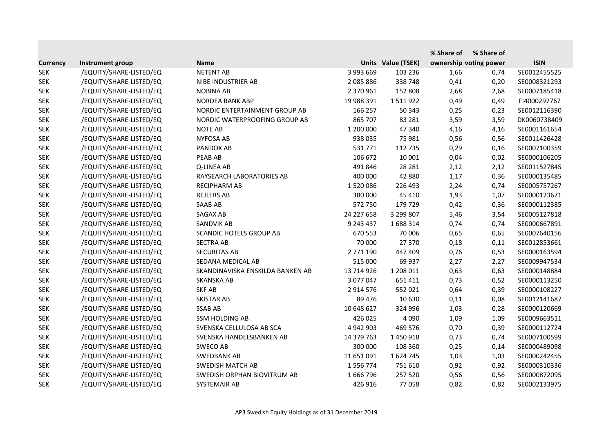|                 |                         |                                  |               |                    | % Share of | % Share of             |              |
|-----------------|-------------------------|----------------------------------|---------------|--------------------|------------|------------------------|--------------|
| <b>Currency</b> | Instrument group        | <b>Name</b>                      |               | Units Value (TSEK) |            | ownership voting power | <b>ISIN</b>  |
| <b>SEK</b>      | /EQUITY/SHARE-LISTED/EQ | <b>NETENT AB</b>                 | 3 993 669     | 103 236            | 1,66       | 0,74                   | SE0012455525 |
| <b>SEK</b>      | /EQUITY/SHARE-LISTED/EQ | NIBE INDUSTRIER AB               | 2 085 886     | 338 748            | 0,41       | 0,20                   | SE0008321293 |
| <b>SEK</b>      | /EQUITY/SHARE-LISTED/EQ | <b>NOBINA AB</b>                 | 2 370 961     | 152 808            | 2,68       | 2,68                   | SE0007185418 |
| <b>SEK</b>      | /EQUITY/SHARE-LISTED/EQ | NORDEA BANK ABP                  | 19 988 391    | 1511922            | 0,49       | 0,49                   | FI4000297767 |
| <b>SEK</b>      | /EQUITY/SHARE-LISTED/EQ | NORDIC ENTERTAINMENT GROUP AB    | 166 257       | 50 343             | 0,25       | 0,23                   | SE0012116390 |
| <b>SEK</b>      | /EQUITY/SHARE-LISTED/EQ | NORDIC WATERPROOFING GROUP AB    | 865 707       | 83 281             | 3,59       | 3,59                   | DK0060738409 |
| <b>SEK</b>      | /EQUITY/SHARE-LISTED/EQ | <b>NOTE AB</b>                   | 1 200 000     | 47 340             | 4,16       | 4,16                   | SE0001161654 |
| <b>SEK</b>      | /EQUITY/SHARE-LISTED/EQ | <b>NYFOSA AB</b>                 | 938 035       | 75 981             | 0,56       | 0,56                   | SE0011426428 |
| <b>SEK</b>      | /EQUITY/SHARE-LISTED/EQ | PANDOX AB                        | 531771        | 112 735            | 0,29       | 0,16                   | SE0007100359 |
| <b>SEK</b>      | /EQUITY/SHARE-LISTED/EQ | PEAB AB                          | 106 672       | 10 001             | 0,04       | 0,02                   | SE0000106205 |
| <b>SEK</b>      | /EQUITY/SHARE-LISTED/EQ | Q-LINEA AB                       | 491 846       | 28 2 8 1           | 2,12       | 2,12                   | SE0011527845 |
| <b>SEK</b>      | /EQUITY/SHARE-LISTED/EQ | RAYSEARCH LABORATORIES AB        | 400 000       | 42 880             | 1,17       | 0,36                   | SE0000135485 |
| <b>SEK</b>      | /EQUITY/SHARE-LISTED/EQ | <b>RECIPHARM AB</b>              | 1520086       | 226 493            | 2,24       | 0,74                   | SE0005757267 |
| <b>SEK</b>      | /EQUITY/SHARE-LISTED/EQ | <b>REJLERS AB</b>                | 380 000       | 45 410             | 1,93       | 1,07                   | SE0000123671 |
| <b>SEK</b>      | /EQUITY/SHARE-LISTED/EQ | <b>SAAB AB</b>                   | 572 750       | 179 729            | 0,42       | 0,36                   | SE0000112385 |
| <b>SEK</b>      | /EQUITY/SHARE-LISTED/EQ | <b>SAGAX AB</b>                  | 24 227 658    | 3 299 807          | 5,46       | 3,54                   | SE0005127818 |
| <b>SEK</b>      | /EQUITY/SHARE-LISTED/EQ | SANDVIK AB                       | 9 243 437     | 1688314            | 0,74       | 0,74                   | SE0000667891 |
| <b>SEK</b>      | /EQUITY/SHARE-LISTED/EQ | <b>SCANDIC HOTELS GROUP AB</b>   | 670 553       | 70 006             | 0,65       | 0,65                   | SE0007640156 |
| <b>SEK</b>      | /EQUITY/SHARE-LISTED/EQ | <b>SECTRA AB</b>                 | 70 000        | 27 370             | 0,18       | 0,11                   | SE0012853661 |
| <b>SEK</b>      | /EQUITY/SHARE-LISTED/EQ | <b>SECURITAS AB</b>              | 2 771 190     | 447 409            | 0,76       | 0,53                   | SE0000163594 |
| <b>SEK</b>      | /EQUITY/SHARE-LISTED/EQ | SEDANA MEDICAL AB                | 515 000       | 69 937             | 2,27       | 2,27                   | SE0009947534 |
| <b>SEK</b>      | /EQUITY/SHARE-LISTED/EQ | SKANDINAVISKA ENSKILDA BANKEN AB | 13 714 926    | 1 208 011          | 0,63       | 0,63                   | SE0000148884 |
| <b>SEK</b>      | /EQUITY/SHARE-LISTED/EQ | <b>SKANSKA AB</b>                | 3 077 047     | 651 411            | 0,73       | 0,52                   | SE0000113250 |
| <b>SEK</b>      | /EQUITY/SHARE-LISTED/EQ | <b>SKF AB</b>                    | 2 9 1 4 5 7 6 | 552 021            | 0,64       | 0,39                   | SE0000108227 |
| <b>SEK</b>      | /EQUITY/SHARE-LISTED/EQ | <b>SKISTAR AB</b>                | 89 476        | 10 630             | 0,11       | 0,08                   | SE0012141687 |
| <b>SEK</b>      | /EQUITY/SHARE-LISTED/EQ | <b>SSAB AB</b>                   | 10 648 627    | 324 996            | 1,03       | 0,28                   | SE0000120669 |
| <b>SEK</b>      | /EQUITY/SHARE-LISTED/EQ | <b>SSM HOLDING AB</b>            | 426 025       | 4 0 9 0            | 1,09       | 1,09                   | SE0009663511 |
| <b>SEK</b>      | /EQUITY/SHARE-LISTED/EQ | SVENSKA CELLULOSA AB SCA         | 4 942 903     | 469 576            | 0,70       | 0,39                   | SE0000112724 |
| <b>SEK</b>      | /EQUITY/SHARE-LISTED/EQ | SVENSKA HANDELSBANKEN AB         | 14 379 763    | 1450918            | 0,73       | 0,74                   | SE0007100599 |
| <b>SEK</b>      | /EQUITY/SHARE-LISTED/EQ | SWECO AB                         | 300 000       | 108 360            | 0,25       | 0,14                   | SE0000489098 |
| <b>SEK</b>      | /EQUITY/SHARE-LISTED/EQ | <b>SWEDBANK AB</b>               | 11 651 091    | 1624745            | 1,03       | 1,03                   | SE0000242455 |
| <b>SEK</b>      | /EQUITY/SHARE-LISTED/EQ | <b>SWEDISH MATCH AB</b>          | 1 556 774     | 751 610            | 0,92       | 0,92                   | SE0000310336 |
| <b>SEK</b>      | /EQUITY/SHARE-LISTED/EQ | SWEDISH ORPHAN BIOVITRUM AB      | 1666796       | 257 520            | 0,56       | 0,56                   | SE0000872095 |
| <b>SEK</b>      | /EQUITY/SHARE-LISTED/EQ | SYSTEMAIR AB                     | 426 916       | 77058              | 0,82       | 0,82                   | SE0002133975 |